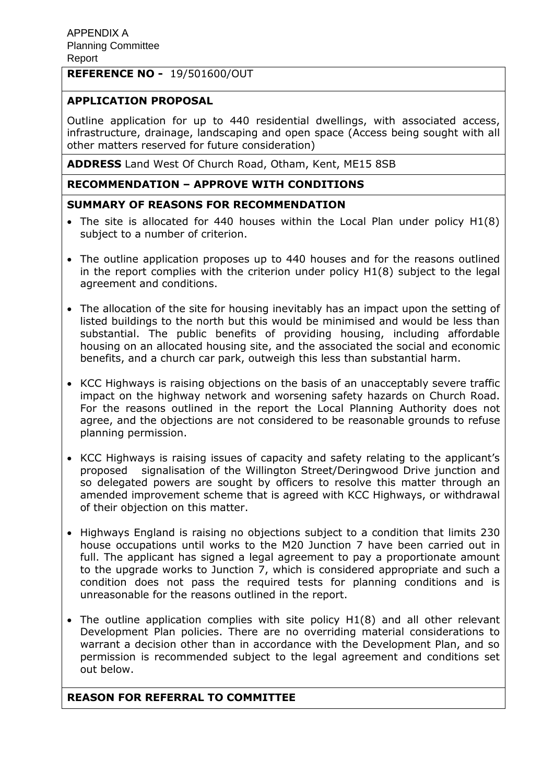# **REFERENCE NO -** 19/501600/OUT

# **APPLICATION PROPOSAL**

Outline application for up to 440 residential dwellings, with associated access, infrastructure, drainage, landscaping and open space (Access being sought with all other matters reserved for future consideration)

**ADDRESS** Land West Of Church Road, Otham, Kent, ME15 8SB

# **RECOMMENDATION – APPROVE WITH CONDITIONS**

## **SUMMARY OF REASONS FOR RECOMMENDATION**

- The site is allocated for 440 houses within the Local Plan under policy H1(8) subject to a number of criterion.
- The outline application proposes up to 440 houses and for the reasons outlined in the report complies with the criterion under policy H1(8) subject to the legal agreement and conditions.
- The allocation of the site for housing inevitably has an impact upon the setting of listed buildings to the north but this would be minimised and would be less than substantial. The public benefits of providing housing, including affordable housing on an allocated housing site, and the associated the social and economic benefits, and a church car park, outweigh this less than substantial harm.
- KCC Highways is raising objections on the basis of an unacceptably severe traffic impact on the highway network and worsening safety hazards on Church Road. For the reasons outlined in the report the Local Planning Authority does not agree, and the objections are not considered to be reasonable grounds to refuse planning permission.
- KCC Highways is raising issues of capacity and safety relating to the applicant's proposed signalisation of the Willington Street/Deringwood Drive junction and so delegated powers are sought by officers to resolve this matter through an amended improvement scheme that is agreed with KCC Highways, or withdrawal of their objection on this matter.
- Highways England is raising no objections subject to a condition that limits 230 house occupations until works to the M20 Junction 7 have been carried out in full. The applicant has signed a legal agreement to pay a proportionate amount to the upgrade works to Junction 7, which is considered appropriate and such a condition does not pass the required tests for planning conditions and is unreasonable for the reasons outlined in the report.
- The outline application complies with site policy H1(8) and all other relevant Development Plan policies. There are no overriding material considerations to warrant a decision other than in accordance with the Development Plan, and so permission is recommended subject to the legal agreement and conditions set out below.

## **REASON FOR REFERRAL TO COMMITTEE**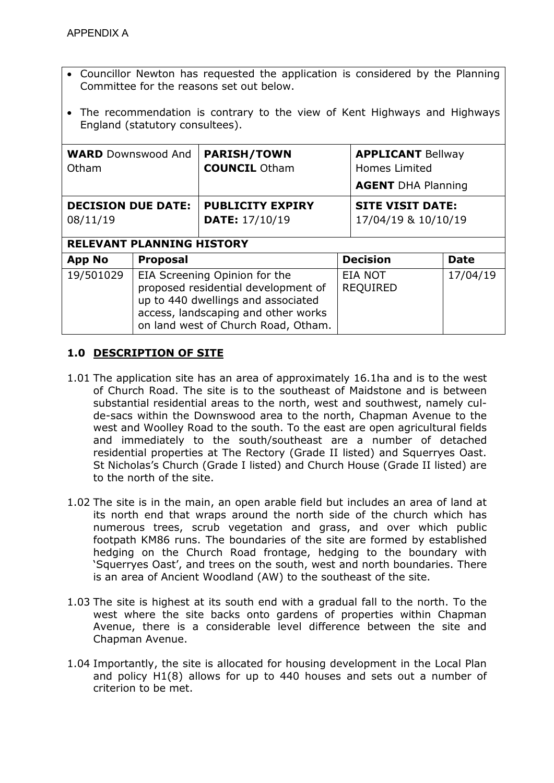- Councillor Newton has requested the application is considered by the Planning Committee for the reasons set out below.
- The recommendation is contrary to the view of Kent Highways and Highways England (statutory consultees).

| <b>WARD</b> Downswood And<br>Otham                                        |                                                                                                                                                                                          | <b>PARISH/TOWN</b><br><b>COUNCIL Otham</b>       | <b>APPLICANT Bellway</b><br>Homes Limited<br><b>AGENT DHA Planning</b> |                                                |             |
|---------------------------------------------------------------------------|------------------------------------------------------------------------------------------------------------------------------------------------------------------------------------------|--------------------------------------------------|------------------------------------------------------------------------|------------------------------------------------|-------------|
| <b>DECISION DUE DATE:</b><br>08/11/19<br><b>RELEVANT PLANNING HISTORY</b> |                                                                                                                                                                                          | <b>PUBLICITY EXPIRY</b><br><b>DATE: 17/10/19</b> |                                                                        | <b>SITE VISIT DATE:</b><br>17/04/19 & 10/10/19 |             |
| <b>App No</b>                                                             | <b>Proposal</b>                                                                                                                                                                          |                                                  | <b>Decision</b>                                                        |                                                | <b>Date</b> |
| 19/501029                                                                 | EIA Screening Opinion for the<br>proposed residential development of<br>up to 440 dwellings and associated<br>access, landscaping and other works<br>on land west of Church Road, Otham. |                                                  |                                                                        | <b>EIA NOT</b><br><b>REQUIRED</b>              | 17/04/19    |

# **1.0 DESCRIPTION OF SITE**

- 1.01 The application site has an area of approximately 16.1ha and is to the west of Church Road. The site is to the southeast of Maidstone and is between substantial residential areas to the north, west and southwest, namely culde-sacs within the Downswood area to the north, Chapman Avenue to the west and Woolley Road to the south. To the east are open agricultural fields and immediately to the south/southeast are a number of detached residential properties at The Rectory (Grade II listed) and Squerryes Oast. St Nicholas's Church (Grade I listed) and Church House (Grade II listed) are to the north of the site.
- 1.02 The site is in the main, an open arable field but includes an area of land at its north end that wraps around the north side of the church which has numerous trees, scrub vegetation and grass, and over which public footpath KM86 runs. The boundaries of the site are formed by established hedging on the Church Road frontage, hedging to the boundary with 'Squerryes Oast', and trees on the south, west and north boundaries. There is an area of Ancient Woodland (AW) to the southeast of the site.
- 1.03 The site is highest at its south end with a gradual fall to the north. To the west where the site backs onto gardens of properties within Chapman Avenue, there is a considerable level difference between the site and Chapman Avenue.
- 1.04 Importantly, the site is allocated for housing development in the Local Plan and policy H1(8) allows for up to 440 houses and sets out a number of criterion to be met.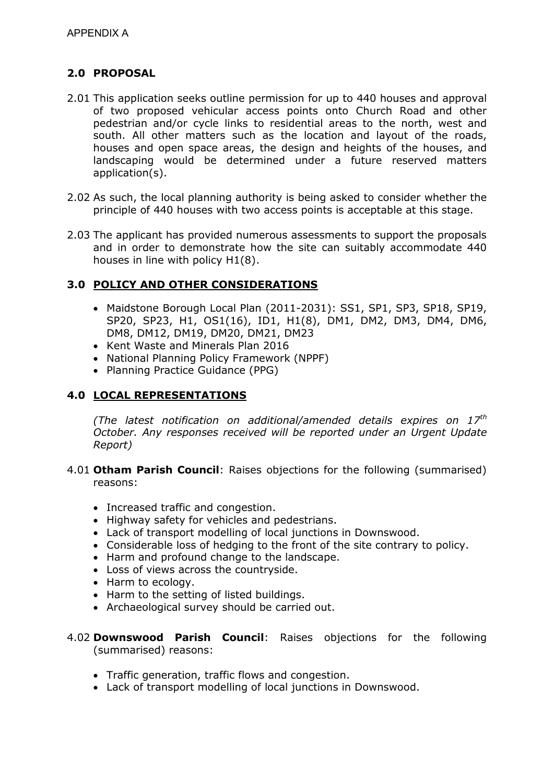# **2.0 PROPOSAL**

- 2.01 This application seeks outline permission for up to 440 houses and approval of two proposed vehicular access points onto Church Road and other pedestrian and/or cycle links to residential areas to the north, west and south. All other matters such as the location and layout of the roads, houses and open space areas, the design and heights of the houses, and landscaping would be determined under a future reserved matters application(s).
- 2.02 As such, the local planning authority is being asked to consider whether the principle of 440 houses with two access points is acceptable at this stage.
- 2.03 The applicant has provided numerous assessments to support the proposals and in order to demonstrate how the site can suitably accommodate 440 houses in line with policy H1(8).

## **3.0 POLICY AND OTHER CONSIDERATIONS**

- Maidstone Borough Local Plan (2011-2031): SS1, SP1, SP3, SP18, SP19, SP20, SP23, H1, OS1(16), ID1, H1(8), DM1, DM2, DM3, DM4, DM6, DM8, DM12, DM19, DM20, DM21, DM23
- Kent Waste and Minerals Plan 2016
- National Planning Policy Framework (NPPF)
- Planning Practice Guidance (PPG)

## **4.0 LOCAL REPRESENTATIONS**

*(The latest notification on additional/amended details expires on 17th October. Any responses received will be reported under an Urgent Update Report)* 

- 4.01 **Otham Parish Council**: Raises objections for the following (summarised) reasons:
	- Increased traffic and congestion.
	- Highway safety for vehicles and pedestrians.
	- Lack of transport modelling of local junctions in Downswood.
	- Considerable loss of hedging to the front of the site contrary to policy.
	- Harm and profound change to the landscape.
	- Loss of views across the countryside.
	- Harm to ecology.
	- Harm to the setting of listed buildings.
	- Archaeological survey should be carried out.
- 4.02 **Downswood Parish Council**: Raises objections for the following (summarised) reasons:
	- Traffic generation, traffic flows and congestion.
	- Lack of transport modelling of local junctions in Downswood.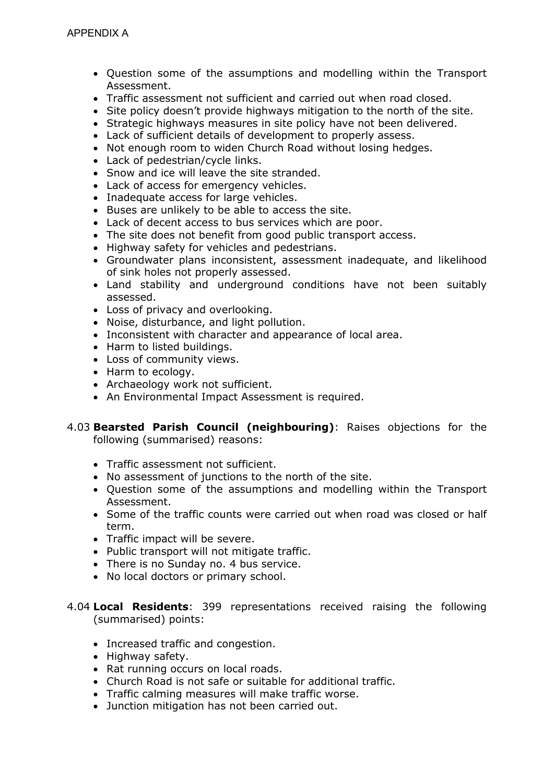- Question some of the assumptions and modelling within the Transport Assessment.
- Traffic assessment not sufficient and carried out when road closed.
- Site policy doesn't provide highways mitigation to the north of the site.
- Strategic highways measures in site policy have not been delivered.
- Lack of sufficient details of development to properly assess.
- Not enough room to widen Church Road without losing hedges.
- Lack of pedestrian/cycle links.
- Snow and ice will leave the site stranded.
- Lack of access for emergency vehicles.
- Inadequate access for large vehicles.
- Buses are unlikely to be able to access the site.
- Lack of decent access to bus services which are poor.
- The site does not benefit from good public transport access.
- Highway safety for vehicles and pedestrians.
- Groundwater plans inconsistent, assessment inadequate, and likelihood of sink holes not properly assessed.
- Land stability and underground conditions have not been suitably assessed.
- Loss of privacy and overlooking.
- Noise, disturbance, and light pollution.
- Inconsistent with character and appearance of local area.
- Harm to listed buildings.
- Loss of community views.
- Harm to ecology.
- Archaeology work not sufficient.
- An Environmental Impact Assessment is required.

#### 4.03 **Bearsted Parish Council (neighbouring)**: Raises objections for the following (summarised) reasons:

- Traffic assessment not sufficient.
- No assessment of junctions to the north of the site.
- Question some of the assumptions and modelling within the Transport Assessment.
- Some of the traffic counts were carried out when road was closed or half term.
- Traffic impact will be severe.
- Public transport will not mitigate traffic.
- There is no Sunday no. 4 bus service.
- No local doctors or primary school.
- 4.04 **Local Residents**: 399 representations received raising the following (summarised) points:
	- Increased traffic and congestion.
	- Highway safety.
	- Rat running occurs on local roads.
	- Church Road is not safe or suitable for additional traffic.
	- Traffic calming measures will make traffic worse.
	- Junction mitigation has not been carried out.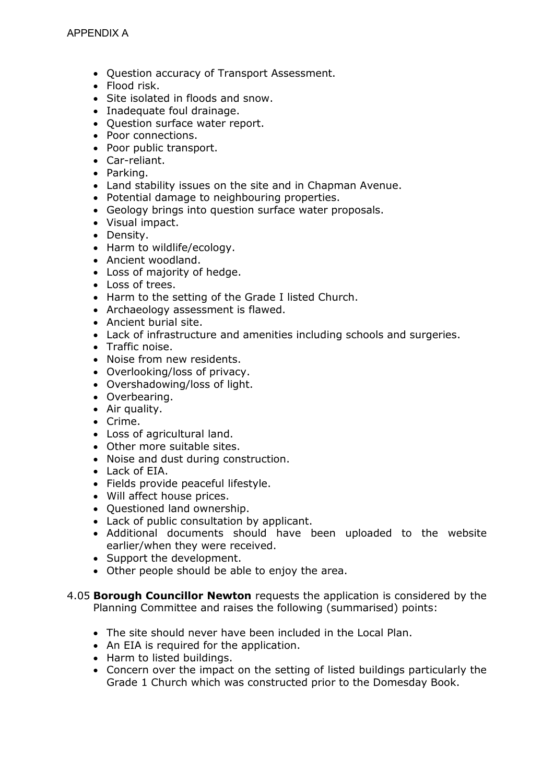- Question accuracy of Transport Assessment.
- Flood risk.
- Site isolated in floods and snow.
- Inadequate foul drainage.
- Question surface water report.
- Poor connections.
- Poor public transport.
- Car-reliant.
- Parking.
- Land stability issues on the site and in Chapman Avenue.
- Potential damage to neighbouring properties.
- Geology brings into question surface water proposals.
- Visual impact.
- Density.
- Harm to wildlife/ecology.
- Ancient woodland.
- Loss of majority of hedge.
- Loss of trees.
- Harm to the setting of the Grade I listed Church.
- Archaeology assessment is flawed.
- Ancient burial site.
- Lack of infrastructure and amenities including schools and surgeries.
- Traffic noise.
- Noise from new residents.
- Overlooking/loss of privacy.
- Overshadowing/loss of light.
- Overbearing.
- Air quality.
- Crime.
- Loss of agricultural land.
- Other more suitable sites.
- Noise and dust during construction.
- Lack of EIA.
- Fields provide peaceful lifestyle.
- Will affect house prices.
- Ouestioned land ownership.
- Lack of public consultation by applicant.
- Additional documents should have been uploaded to the website earlier/when they were received.
- Support the development.
- Other people should be able to enjoy the area.
- 4.05 **Borough Councillor Newton** requests the application is considered by the Planning Committee and raises the following (summarised) points:
	- The site should never have been included in the Local Plan.
	- An EIA is required for the application.
	- Harm to listed buildings.
	- Concern over the impact on the setting of listed buildings particularly the Grade 1 Church which was constructed prior to the Domesday Book.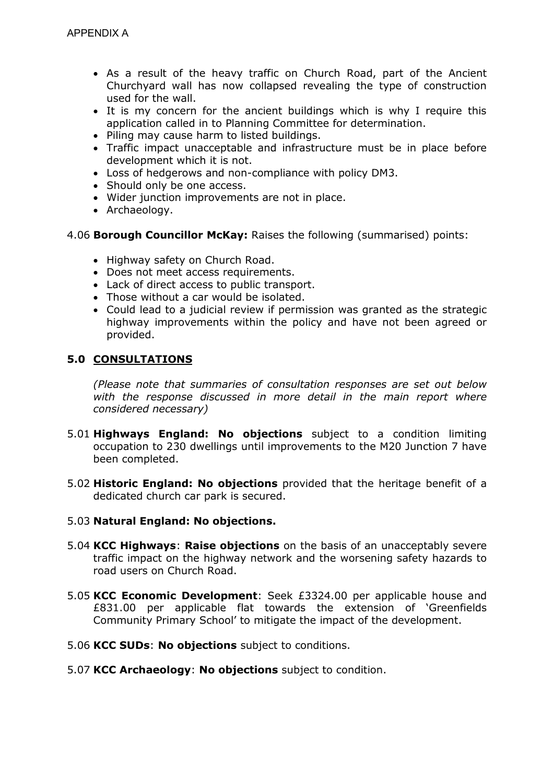- As a result of the heavy traffic on Church Road, part of the Ancient Churchyard wall has now collapsed revealing the type of construction used for the wall.
- It is my concern for the ancient buildings which is why I require this application called in to Planning Committee for determination.
- Piling may cause harm to listed buildings.
- Traffic impact unacceptable and infrastructure must be in place before development which it is not.
- Loss of hedgerows and non-compliance with policy DM3.
- Should only be one access.
- Wider junction improvements are not in place.
- Archaeology.
- 4.06 **Borough Councillor McKay:** Raises the following (summarised) points:
	- Highway safety on Church Road.
	- Does not meet access requirements.
	- Lack of direct access to public transport.
	- Those without a car would be isolated.
	- Could lead to a judicial review if permission was granted as the strategic highway improvements within the policy and have not been agreed or provided.

## **5.0 CONSULTATIONS**

*(Please note that summaries of consultation responses are set out below*  with the response discussed in more detail in the main report where *considered necessary)* 

- 5.01 **Highways England: No objections** subject to a condition limiting occupation to 230 dwellings until improvements to the M20 Junction 7 have been completed.
- 5.02 **Historic England: No objections** provided that the heritage benefit of a dedicated church car park is secured.

### 5.03 **Natural England: No objections.**

- 5.04 **KCC Highways**: **Raise objections** on the basis of an unacceptably severe traffic impact on the highway network and the worsening safety hazards to road users on Church Road.
- 5.05 **KCC Economic Development**: Seek £3324.00 per applicable house and £831.00 per applicable flat towards the extension of 'Greenfields Community Primary School' to mitigate the impact of the development.
- 5.06 **KCC SUDs**: **No objections** subject to conditions.
- 5.07 **KCC Archaeology**: **No objections** subject to condition.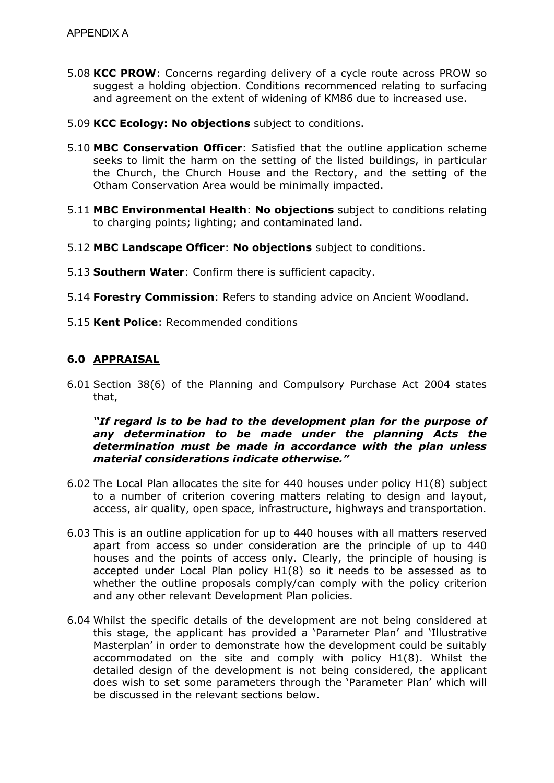- 5.08 **KCC PROW**: Concerns regarding delivery of a cycle route across PROW so suggest a holding objection. Conditions recommenced relating to surfacing and agreement on the extent of widening of KM86 due to increased use.
- 5.09 **KCC Ecology: No objections** subject to conditions.
- 5.10 **MBC Conservation Officer**: Satisfied that the outline application scheme seeks to limit the harm on the setting of the listed buildings, in particular the Church, the Church House and the Rectory, and the setting of the Otham Conservation Area would be minimally impacted.
- 5.11 **MBC Environmental Health**: **No objections** subject to conditions relating to charging points; lighting; and contaminated land.
- 5.12 **MBC Landscape Officer**: **No objections** subject to conditions.
- 5.13 **Southern Water**: Confirm there is sufficient capacity.
- 5.14 **Forestry Commission**: Refers to standing advice on Ancient Woodland.
- 5.15 **Kent Police**: Recommended conditions

## **6.0 APPRAISAL**

6.01 Section 38(6) of the Planning and Compulsory Purchase Act 2004 states that,

### *"If regard is to be had to the development plan for the purpose of any determination to be made under the planning Acts the determination must be made in accordance with the plan unless material considerations indicate otherwise."*

- 6.02 The Local Plan allocates the site for 440 houses under policy H1(8) subject to a number of criterion covering matters relating to design and layout, access, air quality, open space, infrastructure, highways and transportation.
- 6.03 This is an outline application for up to 440 houses with all matters reserved apart from access so under consideration are the principle of up to 440 houses and the points of access only. Clearly, the principle of housing is accepted under Local Plan policy H1(8) so it needs to be assessed as to whether the outline proposals comply/can comply with the policy criterion and any other relevant Development Plan policies.
- 6.04 Whilst the specific details of the development are not being considered at this stage, the applicant has provided a 'Parameter Plan' and 'Illustrative Masterplan' in order to demonstrate how the development could be suitably accommodated on the site and comply with policy H1(8). Whilst the detailed design of the development is not being considered, the applicant does wish to set some parameters through the 'Parameter Plan' which will be discussed in the relevant sections below.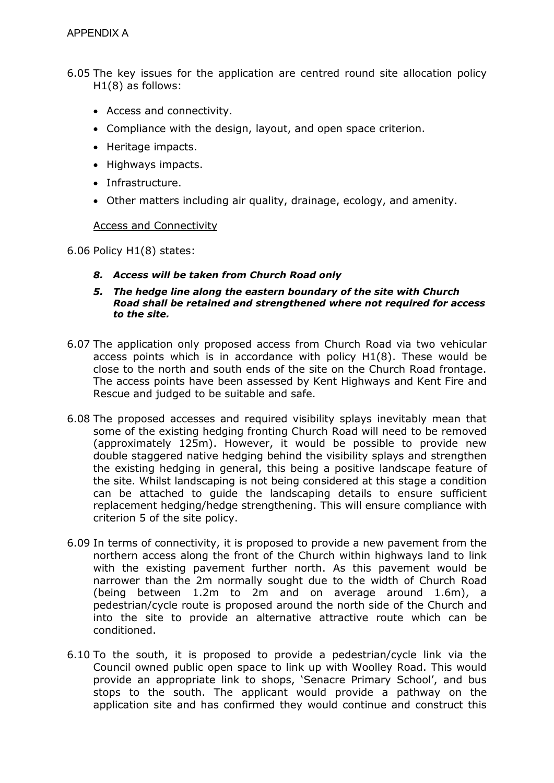- 6.05 The key issues for the application are centred round site allocation policy H1(8) as follows:
	- Access and connectivity.
	- Compliance with the design, layout, and open space criterion.
	- Heritage impacts.
	- Highways impacts.
	- Infrastructure.
	- Other matters including air quality, drainage, ecology, and amenity.

#### Access and Connectivity

6.06 Policy H1(8) states:

- *8. Access will be taken from Church Road only*
- *5. The hedge line along the eastern boundary of the site with Church Road shall be retained and strengthened where not required for access to the site.*
- 6.07 The application only proposed access from Church Road via two vehicular access points which is in accordance with policy H1(8). These would be close to the north and south ends of the site on the Church Road frontage. The access points have been assessed by Kent Highways and Kent Fire and Rescue and judged to be suitable and safe.
- 6.08 The proposed accesses and required visibility splays inevitably mean that some of the existing hedging fronting Church Road will need to be removed (approximately 125m). However, it would be possible to provide new double staggered native hedging behind the visibility splays and strengthen the existing hedging in general, this being a positive landscape feature of the site. Whilst landscaping is not being considered at this stage a condition can be attached to guide the landscaping details to ensure sufficient replacement hedging/hedge strengthening. This will ensure compliance with criterion 5 of the site policy.
- 6.09 In terms of connectivity, it is proposed to provide a new pavement from the northern access along the front of the Church within highways land to link with the existing pavement further north. As this pavement would be narrower than the 2m normally sought due to the width of Church Road (being between 1.2m to 2m and on average around 1.6m), a pedestrian/cycle route is proposed around the north side of the Church and into the site to provide an alternative attractive route which can be conditioned.
- 6.10 To the south, it is proposed to provide a pedestrian/cycle link via the Council owned public open space to link up with Woolley Road. This would provide an appropriate link to shops, 'Senacre Primary School', and bus stops to the south. The applicant would provide a pathway on the application site and has confirmed they would continue and construct this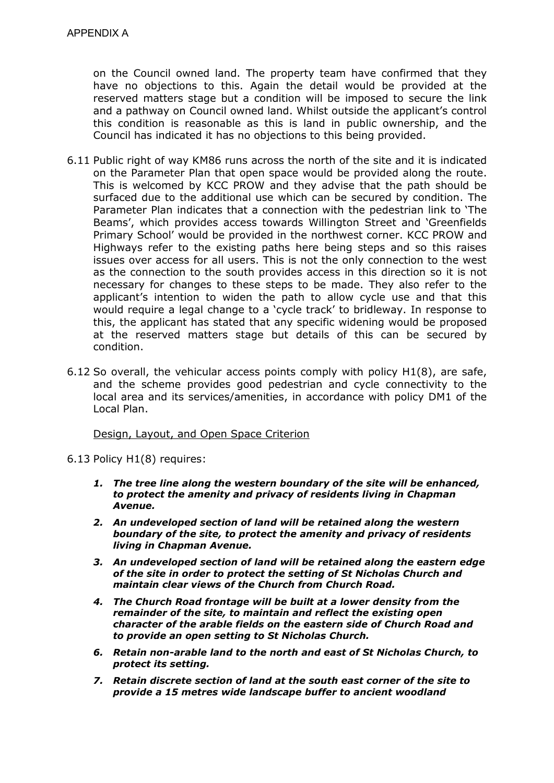on the Council owned land. The property team have confirmed that they have no objections to this. Again the detail would be provided at the reserved matters stage but a condition will be imposed to secure the link and a pathway on Council owned land. Whilst outside the applicant's control this condition is reasonable as this is land in public ownership, and the Council has indicated it has no objections to this being provided.

- 6.11 Public right of way KM86 runs across the north of the site and it is indicated on the Parameter Plan that open space would be provided along the route. This is welcomed by KCC PROW and they advise that the path should be surfaced due to the additional use which can be secured by condition. The Parameter Plan indicates that a connection with the pedestrian link to 'The Beams', which provides access towards Willington Street and 'Greenfields Primary School' would be provided in the northwest corner. KCC PROW and Highways refer to the existing paths here being steps and so this raises issues over access for all users. This is not the only connection to the west as the connection to the south provides access in this direction so it is not necessary for changes to these steps to be made. They also refer to the applicant's intention to widen the path to allow cycle use and that this would require a legal change to a 'cycle track' to bridleway. In response to this, the applicant has stated that any specific widening would be proposed at the reserved matters stage but details of this can be secured by condition.
- 6.12 So overall, the vehicular access points comply with policy H1(8), are safe, and the scheme provides good pedestrian and cycle connectivity to the local area and its services/amenities, in accordance with policy DM1 of the Local Plan.

#### Design, Layout, and Open Space Criterion

6.13 Policy H1(8) requires:

- *1. The tree line along the western boundary of the site will be enhanced, to protect the amenity and privacy of residents living in Chapman Avenue.*
- *2. An undeveloped section of land will be retained along the western boundary of the site, to protect the amenity and privacy of residents living in Chapman Avenue.*
- *3. An undeveloped section of land will be retained along the eastern edge of the site in order to protect the setting of St Nicholas Church and maintain clear views of the Church from Church Road.*
- *4. The Church Road frontage will be built at a lower density from the remainder of the site, to maintain and reflect the existing open character of the arable fields on the eastern side of Church Road and to provide an open setting to St Nicholas Church.*
- *6. Retain non-arable land to the north and east of St Nicholas Church, to protect its setting.*
- *7. Retain discrete section of land at the south east corner of the site to provide a 15 metres wide landscape buffer to ancient woodland*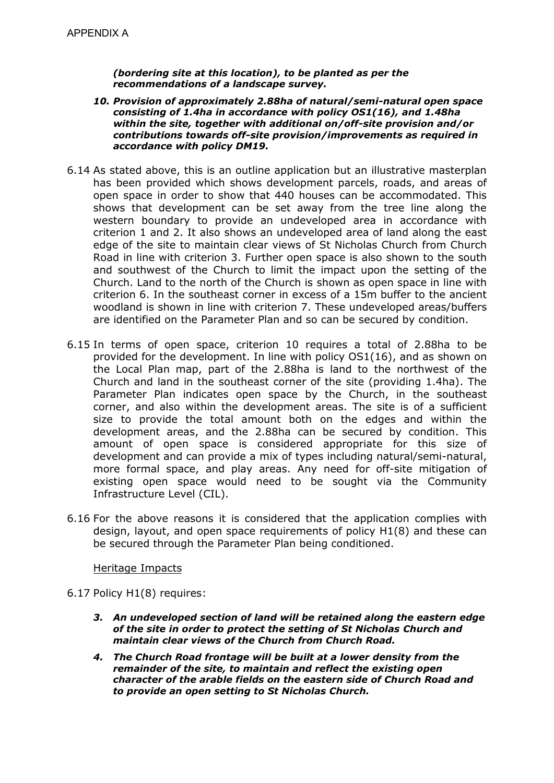*(bordering site at this location), to be planted as per the recommendations of a landscape survey.* 

- *10. Provision of approximately 2.88ha of natural/semi-natural open space consisting of 1.4ha in accordance with policy OS1(16), and 1.48ha within the site, together with additional on/off-site provision and/or contributions towards off-site provision/improvements as required in accordance with policy DM19.*
- 6.14 As stated above, this is an outline application but an illustrative masterplan has been provided which shows development parcels, roads, and areas of open space in order to show that 440 houses can be accommodated. This shows that development can be set away from the tree line along the western boundary to provide an undeveloped area in accordance with criterion 1 and 2. It also shows an undeveloped area of land along the east edge of the site to maintain clear views of St Nicholas Church from Church Road in line with criterion 3. Further open space is also shown to the south and southwest of the Church to limit the impact upon the setting of the Church. Land to the north of the Church is shown as open space in line with criterion 6. In the southeast corner in excess of a 15m buffer to the ancient woodland is shown in line with criterion 7. These undeveloped areas/buffers are identified on the Parameter Plan and so can be secured by condition.
- 6.15 In terms of open space, criterion 10 requires a total of 2.88ha to be provided for the development. In line with policy OS1(16), and as shown on the Local Plan map, part of the 2.88ha is land to the northwest of the Church and land in the southeast corner of the site (providing 1.4ha). The Parameter Plan indicates open space by the Church, in the southeast corner, and also within the development areas. The site is of a sufficient size to provide the total amount both on the edges and within the development areas, and the 2.88ha can be secured by condition. This amount of open space is considered appropriate for this size of development and can provide a mix of types including natural/semi-natural, more formal space, and play areas. Any need for off-site mitigation of existing open space would need to be sought via the Community Infrastructure Level (CIL).
- 6.16 For the above reasons it is considered that the application complies with design, layout, and open space requirements of policy H1(8) and these can be secured through the Parameter Plan being conditioned.

### Heritage Impacts

- 6.17 Policy H1(8) requires:
	- *3. An undeveloped section of land will be retained along the eastern edge of the site in order to protect the setting of St Nicholas Church and maintain clear views of the Church from Church Road.*
	- *4. The Church Road frontage will be built at a lower density from the remainder of the site, to maintain and reflect the existing open character of the arable fields on the eastern side of Church Road and to provide an open setting to St Nicholas Church.*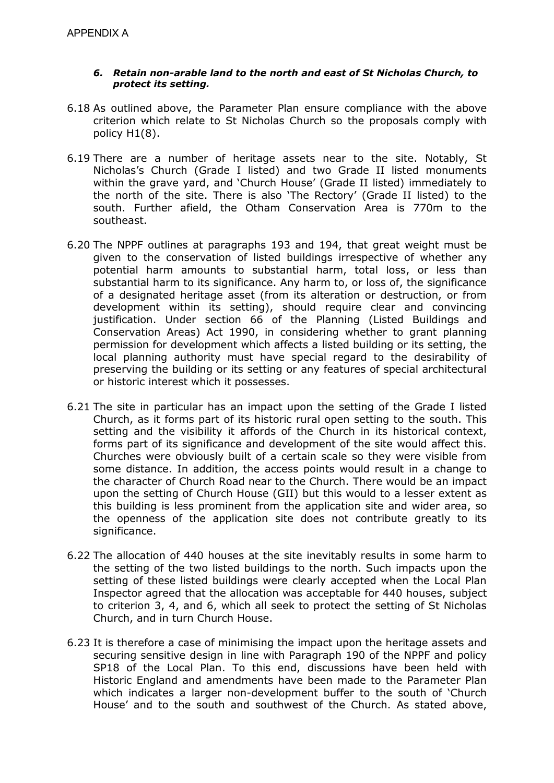### *6. Retain non-arable land to the north and east of St Nicholas Church, to protect its setting.*

- 6.18 As outlined above, the Parameter Plan ensure compliance with the above criterion which relate to St Nicholas Church so the proposals comply with policy H1(8).
- 6.19 There are a number of heritage assets near to the site. Notably, St Nicholas's Church (Grade I listed) and two Grade II listed monuments within the grave yard, and 'Church House' (Grade II listed) immediately to the north of the site. There is also 'The Rectory' (Grade II listed) to the south. Further afield, the Otham Conservation Area is 770m to the southeast.
- 6.20 The NPPF outlines at paragraphs 193 and 194, that great weight must be given to the conservation of listed buildings irrespective of whether any potential harm amounts to substantial harm, total loss, or less than substantial harm to its significance. Any harm to, or loss of, the significance of a designated heritage asset (from its alteration or destruction, or from development within its setting), should require clear and convincing justification. Under section 66 of the Planning (Listed Buildings and Conservation Areas) Act 1990, in considering whether to grant planning permission for development which affects a listed building or its setting, the local planning authority must have special regard to the desirability of preserving the building or its setting or any features of special architectural or historic interest which it possesses.
- 6.21 The site in particular has an impact upon the setting of the Grade I listed Church, as it forms part of its historic rural open setting to the south. This setting and the visibility it affords of the Church in its historical context, forms part of its significance and development of the site would affect this. Churches were obviously built of a certain scale so they were visible from some distance. In addition, the access points would result in a change to the character of Church Road near to the Church. There would be an impact upon the setting of Church House (GII) but this would to a lesser extent as this building is less prominent from the application site and wider area, so the openness of the application site does not contribute greatly to its significance.
- 6.22 The allocation of 440 houses at the site inevitably results in some harm to the setting of the two listed buildings to the north. Such impacts upon the setting of these listed buildings were clearly accepted when the Local Plan Inspector agreed that the allocation was acceptable for 440 houses, subject to criterion 3, 4, and 6, which all seek to protect the setting of St Nicholas Church, and in turn Church House.
- 6.23 It is therefore a case of minimising the impact upon the heritage assets and securing sensitive design in line with Paragraph 190 of the NPPF and policy SP18 of the Local Plan. To this end, discussions have been held with Historic England and amendments have been made to the Parameter Plan which indicates a larger non-development buffer to the south of 'Church House' and to the south and southwest of the Church. As stated above,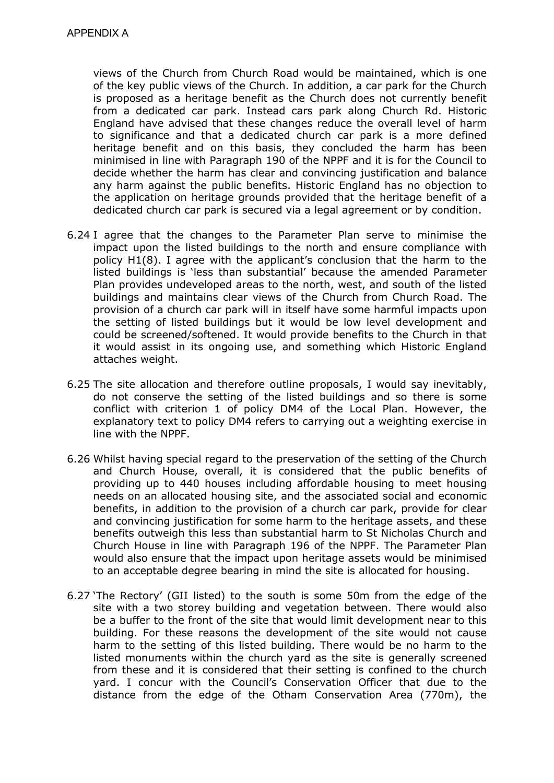views of the Church from Church Road would be maintained, which is one of the key public views of the Church. In addition, a car park for the Church is proposed as a heritage benefit as the Church does not currently benefit from a dedicated car park. Instead cars park along Church Rd. Historic England have advised that these changes reduce the overall level of harm to significance and that a dedicated church car park is a more defined heritage benefit and on this basis, they concluded the harm has been minimised in line with Paragraph 190 of the NPPF and it is for the Council to decide whether the harm has clear and convincing justification and balance any harm against the public benefits. Historic England has no objection to the application on heritage grounds provided that the heritage benefit of a dedicated church car park is secured via a legal agreement or by condition.

- 6.24 I agree that the changes to the Parameter Plan serve to minimise the impact upon the listed buildings to the north and ensure compliance with policy H1(8). I agree with the applicant's conclusion that the harm to the listed buildings is 'less than substantial' because the amended Parameter Plan provides undeveloped areas to the north, west, and south of the listed buildings and maintains clear views of the Church from Church Road. The provision of a church car park will in itself have some harmful impacts upon the setting of listed buildings but it would be low level development and could be screened/softened. It would provide benefits to the Church in that it would assist in its ongoing use, and something which Historic England attaches weight.
- 6.25 The site allocation and therefore outline proposals, I would say inevitably, do not conserve the setting of the listed buildings and so there is some conflict with criterion 1 of policy DM4 of the Local Plan. However, the explanatory text to policy DM4 refers to carrying out a weighting exercise in line with the NPPF.
- 6.26 Whilst having special regard to the preservation of the setting of the Church and Church House, overall, it is considered that the public benefits of providing up to 440 houses including affordable housing to meet housing needs on an allocated housing site, and the associated social and economic benefits, in addition to the provision of a church car park, provide for clear and convincing justification for some harm to the heritage assets, and these benefits outweigh this less than substantial harm to St Nicholas Church and Church House in line with Paragraph 196 of the NPPF. The Parameter Plan would also ensure that the impact upon heritage assets would be minimised to an acceptable degree bearing in mind the site is allocated for housing.
- 6.27 'The Rectory' (GII listed) to the south is some 50m from the edge of the site with a two storey building and vegetation between. There would also be a buffer to the front of the site that would limit development near to this building. For these reasons the development of the site would not cause harm to the setting of this listed building. There would be no harm to the listed monuments within the church yard as the site is generally screened from these and it is considered that their setting is confined to the church yard. I concur with the Council's Conservation Officer that due to the distance from the edge of the Otham Conservation Area (770m), the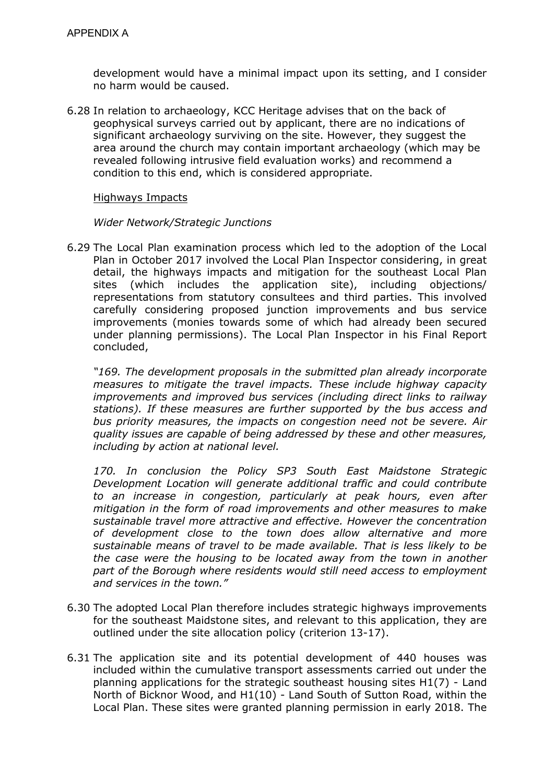development would have a minimal impact upon its setting, and I consider no harm would be caused.

6.28 In relation to archaeology, KCC Heritage advises that on the back of geophysical surveys carried out by applicant, there are no indications of significant archaeology surviving on the site. However, they suggest the area around the church may contain important archaeology (which may be revealed following intrusive field evaluation works) and recommend a condition to this end, which is considered appropriate.

#### Highways Impacts

#### *Wider Network/Strategic Junctions*

6.29 The Local Plan examination process which led to the adoption of the Local Plan in October 2017 involved the Local Plan Inspector considering, in great detail, the highways impacts and mitigation for the southeast Local Plan sites (which includes the application site), including objections/ representations from statutory consultees and third parties. This involved carefully considering proposed junction improvements and bus service improvements (monies towards some of which had already been secured under planning permissions). The Local Plan Inspector in his Final Report concluded,

*"169. The development proposals in the submitted plan already incorporate measures to mitigate the travel impacts. These include highway capacity improvements and improved bus services (including direct links to railway stations). If these measures are further supported by the bus access and bus priority measures, the impacts on congestion need not be severe. Air quality issues are capable of being addressed by these and other measures, including by action at national level.* 

*170. In conclusion the Policy SP3 South East Maidstone Strategic Development Location will generate additional traffic and could contribute to an increase in congestion, particularly at peak hours, even after mitigation in the form of road improvements and other measures to make sustainable travel more attractive and effective. However the concentration of development close to the town does allow alternative and more sustainable means of travel to be made available. That is less likely to be the case were the housing to be located away from the town in another part of the Borough where residents would still need access to employment and services in the town."*

- 6.30 The adopted Local Plan therefore includes strategic highways improvements for the southeast Maidstone sites, and relevant to this application, they are outlined under the site allocation policy (criterion 13-17).
- 6.31 The application site and its potential development of 440 houses was included within the cumulative transport assessments carried out under the planning applications for the strategic southeast housing sites H1(7) - Land North of Bicknor Wood, and H1(10) - Land South of Sutton Road, within the Local Plan. These sites were granted planning permission in early 2018. The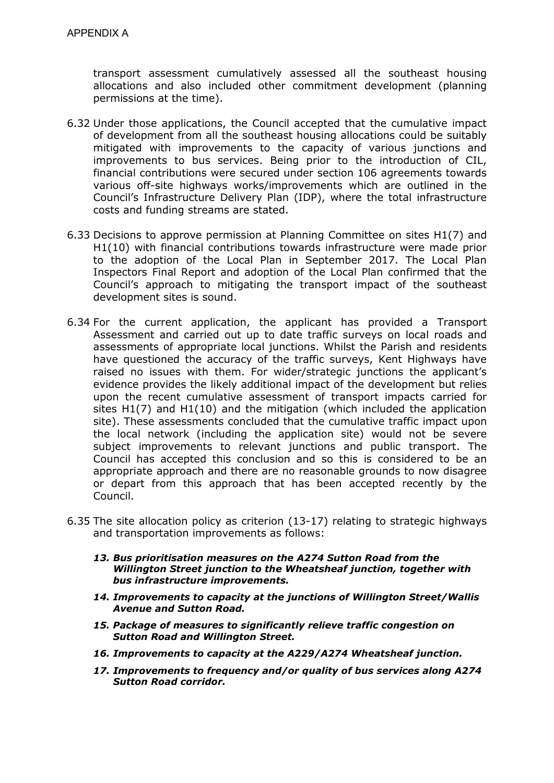transport assessment cumulatively assessed all the southeast housing allocations and also included other commitment development (planning permissions at the time).

- 6.32 Under those applications, the Council accepted that the cumulative impact of development from all the southeast housing allocations could be suitably mitigated with improvements to the capacity of various junctions and improvements to bus services. Being prior to the introduction of CIL, financial contributions were secured under section 106 agreements towards various off-site highways works/improvements which are outlined in the Council's Infrastructure Delivery Plan (IDP), where the total infrastructure costs and funding streams are stated.
- 6.33 Decisions to approve permission at Planning Committee on sites H1(7) and H1(10) with financial contributions towards infrastructure were made prior to the adoption of the Local Plan in September 2017. The Local Plan Inspectors Final Report and adoption of the Local Plan confirmed that the Council's approach to mitigating the transport impact of the southeast development sites is sound.
- 6.34 For the current application, the applicant has provided a Transport Assessment and carried out up to date traffic surveys on local roads and assessments of appropriate local junctions. Whilst the Parish and residents have questioned the accuracy of the traffic surveys, Kent Highways have raised no issues with them. For wider/strategic junctions the applicant's evidence provides the likely additional impact of the development but relies upon the recent cumulative assessment of transport impacts carried for sites H1(7) and H1(10) and the mitigation (which included the application site). These assessments concluded that the cumulative traffic impact upon the local network (including the application site) would not be severe subject improvements to relevant junctions and public transport. The Council has accepted this conclusion and so this is considered to be an appropriate approach and there are no reasonable grounds to now disagree or depart from this approach that has been accepted recently by the Council.
- 6.35 The site allocation policy as criterion (13-17) relating to strategic highways and transportation improvements as follows:
	- *13. Bus prioritisation measures on the A274 Sutton Road from the Willington Street junction to the Wheatsheaf junction, together with bus infrastructure improvements.*
	- *14. Improvements to capacity at the junctions of Willington Street/Wallis Avenue and Sutton Road.*
	- *15. Package of measures to significantly relieve traffic congestion on Sutton Road and Willington Street.*
	- *16. Improvements to capacity at the A229/A274 Wheatsheaf junction.*
	- *17. Improvements to frequency and/or quality of bus services along A274 Sutton Road corridor.*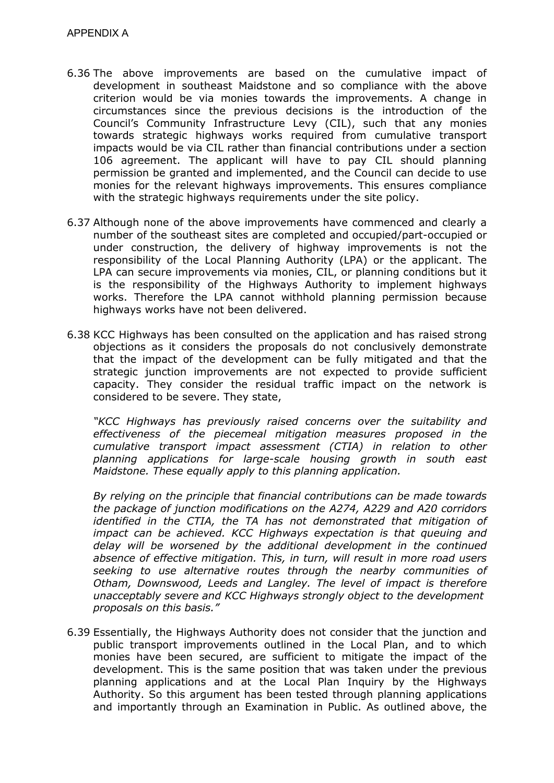- 6.36 The above improvements are based on the cumulative impact of development in southeast Maidstone and so compliance with the above criterion would be via monies towards the improvements. A change in circumstances since the previous decisions is the introduction of the Council's Community Infrastructure Levy (CIL), such that any monies towards strategic highways works required from cumulative transport impacts would be via CIL rather than financial contributions under a section 106 agreement. The applicant will have to pay CIL should planning permission be granted and implemented, and the Council can decide to use monies for the relevant highways improvements. This ensures compliance with the strategic highways requirements under the site policy.
- 6.37 Although none of the above improvements have commenced and clearly a number of the southeast sites are completed and occupied/part-occupied or under construction, the delivery of highway improvements is not the responsibility of the Local Planning Authority (LPA) or the applicant. The LPA can secure improvements via monies, CIL, or planning conditions but it is the responsibility of the Highways Authority to implement highways works. Therefore the LPA cannot withhold planning permission because highways works have not been delivered.
- 6.38 KCC Highways has been consulted on the application and has raised strong objections as it considers the proposals do not conclusively demonstrate that the impact of the development can be fully mitigated and that the strategic junction improvements are not expected to provide sufficient capacity. They consider the residual traffic impact on the network is considered to be severe. They state,

*"KCC Highways has previously raised concerns over the suitability and effectiveness of the piecemeal mitigation measures proposed in the cumulative transport impact assessment (CTIA) in relation to other planning applications for large-scale housing growth in south east Maidstone. These equally apply to this planning application.* 

*By relying on the principle that financial contributions can be made towards the package of junction modifications on the A274, A229 and A20 corridors identified in the CTIA, the TA has not demonstrated that mitigation of impact can be achieved. KCC Highways expectation is that queuing and delay will be worsened by the additional development in the continued absence of effective mitigation. This, in turn, will result in more road users seeking to use alternative routes through the nearby communities of Otham, Downswood, Leeds and Langley. The level of impact is therefore unacceptably severe and KCC Highways strongly object to the development proposals on this basis."*

6.39 Essentially, the Highways Authority does not consider that the junction and public transport improvements outlined in the Local Plan, and to which monies have been secured, are sufficient to mitigate the impact of the development. This is the same position that was taken under the previous planning applications and at the Local Plan Inquiry by the Highways Authority. So this argument has been tested through planning applications and importantly through an Examination in Public. As outlined above, the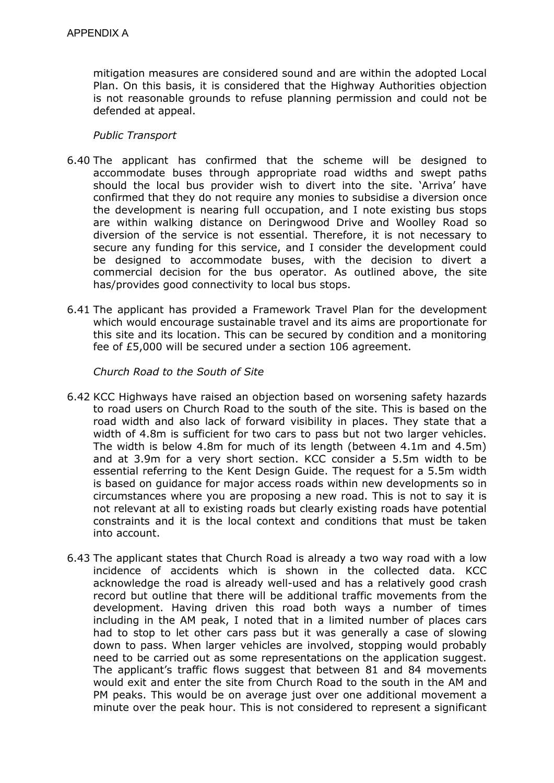mitigation measures are considered sound and are within the adopted Local Plan. On this basis, it is considered that the Highway Authorities objection is not reasonable grounds to refuse planning permission and could not be defended at appeal.

### *Public Transport*

- 6.40 The applicant has confirmed that the scheme will be designed to accommodate buses through appropriate road widths and swept paths should the local bus provider wish to divert into the site. 'Arriva' have confirmed that they do not require any monies to subsidise a diversion once the development is nearing full occupation, and I note existing bus stops are within walking distance on Deringwood Drive and Woolley Road so diversion of the service is not essential. Therefore, it is not necessary to secure any funding for this service, and I consider the development could be designed to accommodate buses, with the decision to divert a commercial decision for the bus operator. As outlined above, the site has/provides good connectivity to local bus stops.
- 6.41 The applicant has provided a Framework Travel Plan for the development which would encourage sustainable travel and its aims are proportionate for this site and its location. This can be secured by condition and a monitoring fee of £5,000 will be secured under a section 106 agreement.

*Church Road to the South of Site* 

- 6.42 KCC Highways have raised an objection based on worsening safety hazards to road users on Church Road to the south of the site. This is based on the road width and also lack of forward visibility in places. They state that a width of 4.8m is sufficient for two cars to pass but not two larger vehicles. The width is below 4.8m for much of its length (between 4.1m and 4.5m) and at 3.9m for a very short section. KCC consider a 5.5m width to be essential referring to the Kent Design Guide. The request for a 5.5m width is based on guidance for major access roads within new developments so in circumstances where you are proposing a new road. This is not to say it is not relevant at all to existing roads but clearly existing roads have potential constraints and it is the local context and conditions that must be taken into account.
- 6.43 The applicant states that Church Road is already a two way road with a low incidence of accidents which is shown in the collected data. KCC acknowledge the road is already well-used and has a relatively good crash record but outline that there will be additional traffic movements from the development. Having driven this road both ways a number of times including in the AM peak, I noted that in a limited number of places cars had to stop to let other cars pass but it was generally a case of slowing down to pass. When larger vehicles are involved, stopping would probably need to be carried out as some representations on the application suggest. The applicant's traffic flows suggest that between 81 and 84 movements would exit and enter the site from Church Road to the south in the AM and PM peaks. This would be on average just over one additional movement a minute over the peak hour. This is not considered to represent a significant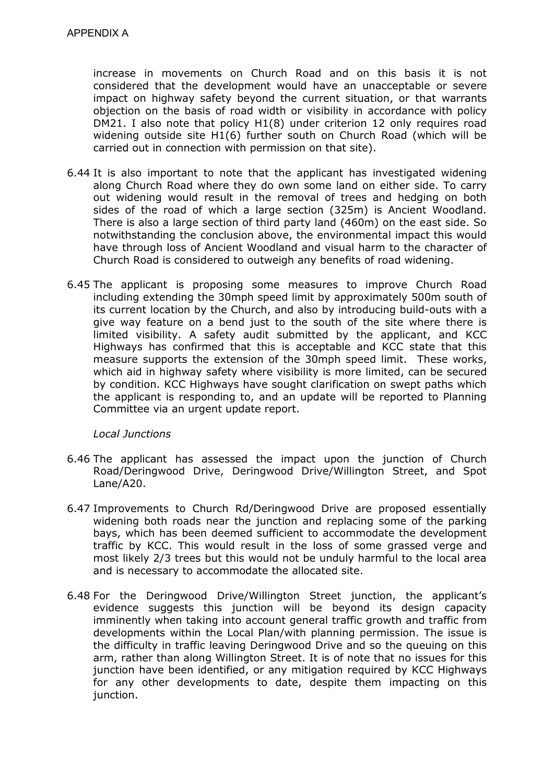increase in movements on Church Road and on this basis it is not considered that the development would have an unacceptable or severe impact on highway safety beyond the current situation, or that warrants objection on the basis of road width or visibility in accordance with policy DM21. I also note that policy H1(8) under criterion 12 only requires road widening outside site H1(6) further south on Church Road (which will be carried out in connection with permission on that site).

- 6.44 It is also important to note that the applicant has investigated widening along Church Road where they do own some land on either side. To carry out widening would result in the removal of trees and hedging on both sides of the road of which a large section (325m) is Ancient Woodland. There is also a large section of third party land (460m) on the east side. So notwithstanding the conclusion above, the environmental impact this would have through loss of Ancient Woodland and visual harm to the character of Church Road is considered to outweigh any benefits of road widening.
- 6.45 The applicant is proposing some measures to improve Church Road including extending the 30mph speed limit by approximately 500m south of its current location by the Church, and also by introducing build-outs with a give way feature on a bend just to the south of the site where there is limited visibility. A safety audit submitted by the applicant, and KCC Highways has confirmed that this is acceptable and KCC state that this measure supports the extension of the 30mph speed limit. These works, which aid in highway safety where visibility is more limited, can be secured by condition. KCC Highways have sought clarification on swept paths which the applicant is responding to, and an update will be reported to Planning Committee via an urgent update report.

### *Local Junctions*

- 6.46 The applicant has assessed the impact upon the junction of Church Road/Deringwood Drive, Deringwood Drive/Willington Street, and Spot Lane/A20.
- 6.47 Improvements to Church Rd/Deringwood Drive are proposed essentially widening both roads near the junction and replacing some of the parking bays, which has been deemed sufficient to accommodate the development traffic by KCC. This would result in the loss of some grassed verge and most likely 2/3 trees but this would not be unduly harmful to the local area and is necessary to accommodate the allocated site.
- 6.48 For the Deringwood Drive/Willington Street junction, the applicant's evidence suggests this junction will be beyond its design capacity imminently when taking into account general traffic growth and traffic from developments within the Local Plan/with planning permission. The issue is the difficulty in traffic leaving Deringwood Drive and so the queuing on this arm, rather than along Willington Street. It is of note that no issues for this junction have been identified, or any mitigation required by KCC Highways for any other developments to date, despite them impacting on this junction.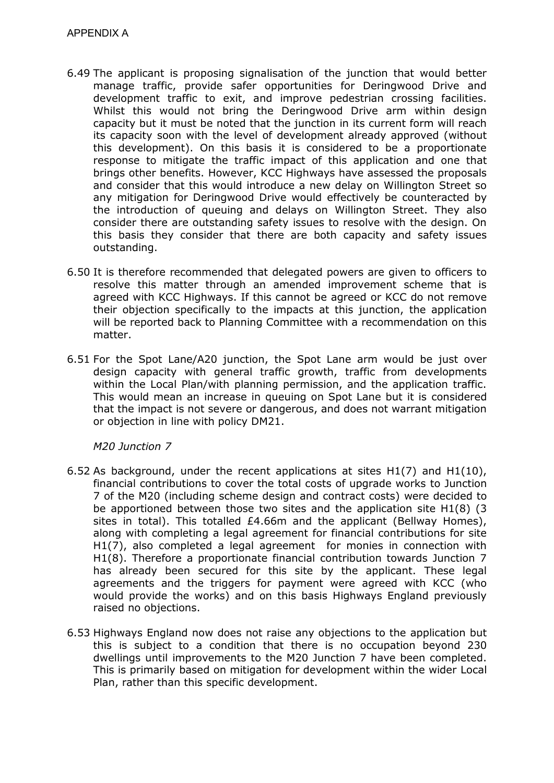- 6.49 The applicant is proposing signalisation of the junction that would better manage traffic, provide safer opportunities for Deringwood Drive and development traffic to exit, and improve pedestrian crossing facilities. Whilst this would not bring the Deringwood Drive arm within design capacity but it must be noted that the junction in its current form will reach its capacity soon with the level of development already approved (without this development). On this basis it is considered to be a proportionate response to mitigate the traffic impact of this application and one that brings other benefits. However, KCC Highways have assessed the proposals and consider that this would introduce a new delay on Willington Street so any mitigation for Deringwood Drive would effectively be counteracted by the introduction of queuing and delays on Willington Street. They also consider there are outstanding safety issues to resolve with the design. On this basis they consider that there are both capacity and safety issues outstanding.
- 6.50 It is therefore recommended that delegated powers are given to officers to resolve this matter through an amended improvement scheme that is agreed with KCC Highways. If this cannot be agreed or KCC do not remove their objection specifically to the impacts at this junction, the application will be reported back to Planning Committee with a recommendation on this matter.
- 6.51 For the Spot Lane/A20 junction, the Spot Lane arm would be just over design capacity with general traffic growth, traffic from developments within the Local Plan/with planning permission, and the application traffic. This would mean an increase in queuing on Spot Lane but it is considered that the impact is not severe or dangerous, and does not warrant mitigation or objection in line with policy DM21.

### *M20 Junction 7*

- 6.52 As background, under the recent applications at sites H1(7) and H1(10), financial contributions to cover the total costs of upgrade works to Junction 7 of the M20 (including scheme design and contract costs) were decided to be apportioned between those two sites and the application site H1(8) (3 sites in total). This totalled £4.66m and the applicant (Bellway Homes), along with completing a legal agreement for financial contributions for site H1(7), also completed a legal agreement for monies in connection with H1(8). Therefore a proportionate financial contribution towards Junction 7 has already been secured for this site by the applicant. These legal agreements and the triggers for payment were agreed with KCC (who would provide the works) and on this basis Highways England previously raised no objections.
- 6.53 Highways England now does not raise any objections to the application but this is subject to a condition that there is no occupation beyond 230 dwellings until improvements to the M20 Junction 7 have been completed. This is primarily based on mitigation for development within the wider Local Plan, rather than this specific development.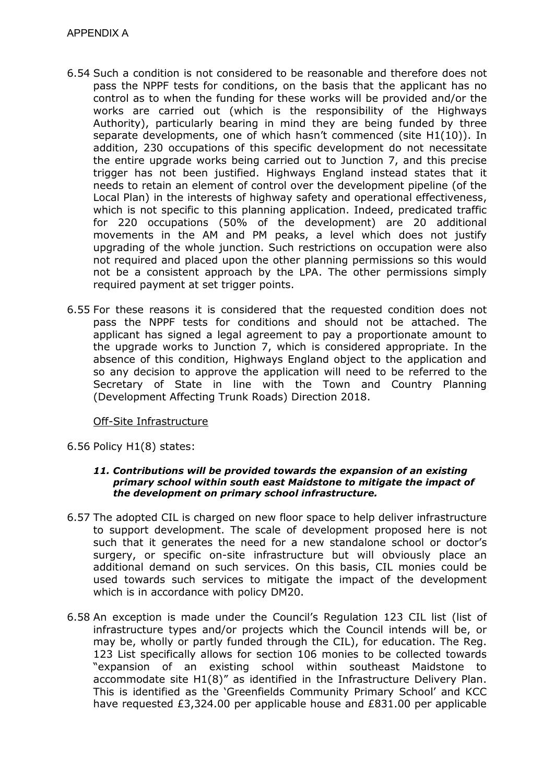- 6.54 Such a condition is not considered to be reasonable and therefore does not pass the NPPF tests for conditions, on the basis that the applicant has no control as to when the funding for these works will be provided and/or the works are carried out (which is the responsibility of the Highways Authority), particularly bearing in mind they are being funded by three separate developments, one of which hasn't commenced (site H1(10)). In addition, 230 occupations of this specific development do not necessitate the entire upgrade works being carried out to Junction 7, and this precise trigger has not been justified. Highways England instead states that it needs to retain an element of control over the development pipeline (of the Local Plan) in the interests of highway safety and operational effectiveness, which is not specific to this planning application. Indeed, predicated traffic for 220 occupations (50% of the development) are 20 additional movements in the AM and PM peaks, a level which does not justify upgrading of the whole junction. Such restrictions on occupation were also not required and placed upon the other planning permissions so this would not be a consistent approach by the LPA. The other permissions simply required payment at set trigger points.
- 6.55 For these reasons it is considered that the requested condition does not pass the NPPF tests for conditions and should not be attached. The applicant has signed a legal agreement to pay a proportionate amount to the upgrade works to Junction 7, which is considered appropriate. In the absence of this condition, Highways England object to the application and so any decision to approve the application will need to be referred to the Secretary of State in line with the Town and Country Planning (Development Affecting Trunk Roads) Direction 2018.

## Off-Site Infrastructure

6.56 Policy H1(8) states:

#### *11. Contributions will be provided towards the expansion of an existing primary school within south east Maidstone to mitigate the impact of the development on primary school infrastructure.*

- 6.57 The adopted CIL is charged on new floor space to help deliver infrastructure to support development. The scale of development proposed here is not such that it generates the need for a new standalone school or doctor's surgery, or specific on-site infrastructure but will obviously place an additional demand on such services. On this basis, CIL monies could be used towards such services to mitigate the impact of the development which is in accordance with policy DM20.
- 6.58 An exception is made under the Council's Regulation 123 CIL list (list of infrastructure types and/or projects which the Council intends will be, or may be, wholly or partly funded through the CIL), for education. The Reg. 123 List specifically allows for section 106 monies to be collected towards "expansion of an existing school within southeast Maidstone to accommodate site H1(8)" as identified in the Infrastructure Delivery Plan. This is identified as the 'Greenfields Community Primary School' and KCC have requested £3,324.00 per applicable house and £831.00 per applicable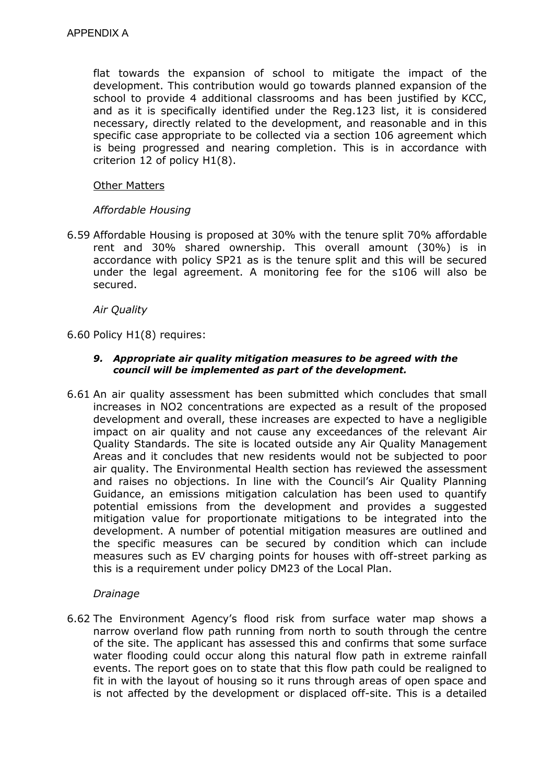flat towards the expansion of school to mitigate the impact of the development. This contribution would go towards planned expansion of the school to provide 4 additional classrooms and has been justified by KCC, and as it is specifically identified under the Reg.123 list, it is considered necessary, directly related to the development, and reasonable and in this specific case appropriate to be collected via a section 106 agreement which is being progressed and nearing completion. This is in accordance with criterion 12 of policy H1(8).

### Other Matters

## *Affordable Housing*

6.59 Affordable Housing is proposed at 30% with the tenure split 70% affordable rent and 30% shared ownership. This overall amount (30%) is in accordance with policy SP21 as is the tenure split and this will be secured under the legal agreement. A monitoring fee for the s106 will also be secured.

*Air Quality* 

6.60 Policy H1(8) requires:

#### *9. Appropriate air quality mitigation measures to be agreed with the council will be implemented as part of the development.*

6.61 An air quality assessment has been submitted which concludes that small increases in NO2 concentrations are expected as a result of the proposed development and overall, these increases are expected to have a negligible impact on air quality and not cause any exceedances of the relevant Air Quality Standards. The site is located outside any Air Quality Management Areas and it concludes that new residents would not be subjected to poor air quality. The Environmental Health section has reviewed the assessment and raises no objections. In line with the Council's Air Quality Planning Guidance, an emissions mitigation calculation has been used to quantify potential emissions from the development and provides a suggested mitigation value for proportionate mitigations to be integrated into the development. A number of potential mitigation measures are outlined and the specific measures can be secured by condition which can include measures such as EV charging points for houses with off-street parking as this is a requirement under policy DM23 of the Local Plan.

### *Drainage*

6.62 The Environment Agency's flood risk from surface water map shows a narrow overland flow path running from north to south through the centre of the site. The applicant has assessed this and confirms that some surface water flooding could occur along this natural flow path in extreme rainfall events. The report goes on to state that this flow path could be realigned to fit in with the layout of housing so it runs through areas of open space and is not affected by the development or displaced off-site. This is a detailed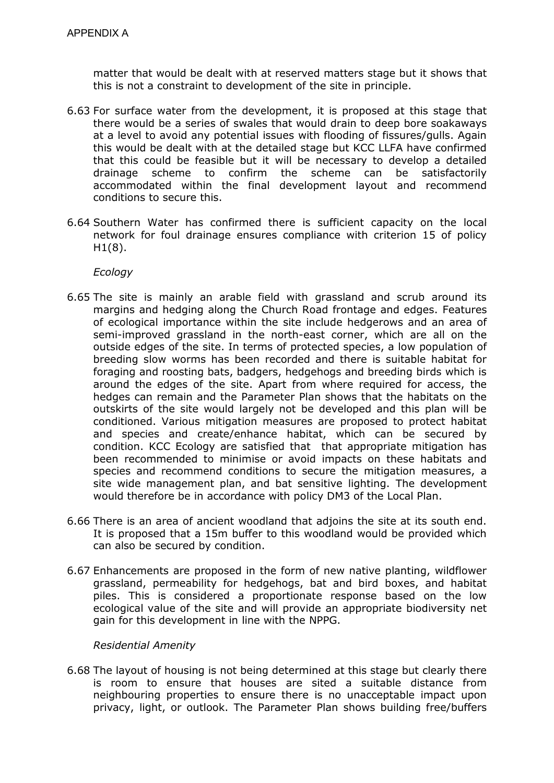matter that would be dealt with at reserved matters stage but it shows that this is not a constraint to development of the site in principle.

- 6.63 For surface water from the development, it is proposed at this stage that there would be a series of swales that would drain to deep bore soakaways at a level to avoid any potential issues with flooding of fissures/gulls. Again this would be dealt with at the detailed stage but KCC LLFA have confirmed that this could be feasible but it will be necessary to develop a detailed drainage scheme to confirm the scheme can be satisfactorily accommodated within the final development layout and recommend conditions to secure this.
- 6.64 Southern Water has confirmed there is sufficient capacity on the local network for foul drainage ensures compliance with criterion 15 of policy  $H1(8)$ .

*Ecology* 

- 6.65 The site is mainly an arable field with grassland and scrub around its margins and hedging along the Church Road frontage and edges. Features of ecological importance within the site include hedgerows and an area of semi-improved grassland in the north-east corner, which are all on the outside edges of the site. In terms of protected species, a low population of breeding slow worms has been recorded and there is suitable habitat for foraging and roosting bats, badgers, hedgehogs and breeding birds which is around the edges of the site. Apart from where required for access, the hedges can remain and the Parameter Plan shows that the habitats on the outskirts of the site would largely not be developed and this plan will be conditioned. Various mitigation measures are proposed to protect habitat and species and create/enhance habitat, which can be secured by condition. KCC Ecology are satisfied that that appropriate mitigation has been recommended to minimise or avoid impacts on these habitats and species and recommend conditions to secure the mitigation measures, a site wide management plan, and bat sensitive lighting. The development would therefore be in accordance with policy DM3 of the Local Plan.
- 6.66 There is an area of ancient woodland that adjoins the site at its south end. It is proposed that a 15m buffer to this woodland would be provided which can also be secured by condition.
- 6.67 Enhancements are proposed in the form of new native planting, wildflower grassland, permeability for hedgehogs, bat and bird boxes, and habitat piles. This is considered a proportionate response based on the low ecological value of the site and will provide an appropriate biodiversity net gain for this development in line with the NPPG.

### *Residential Amenity*

6.68 The layout of housing is not being determined at this stage but clearly there is room to ensure that houses are sited a suitable distance from neighbouring properties to ensure there is no unacceptable impact upon privacy, light, or outlook. The Parameter Plan shows building free/buffers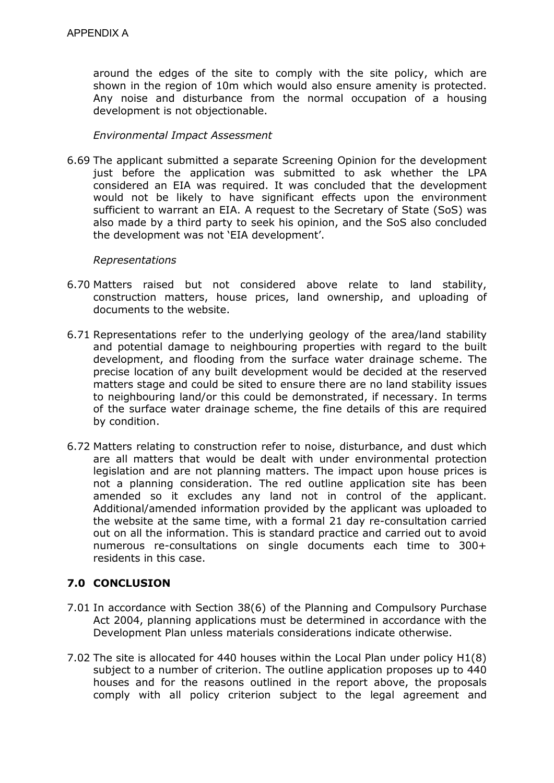around the edges of the site to comply with the site policy, which are shown in the region of 10m which would also ensure amenity is protected. Any noise and disturbance from the normal occupation of a housing development is not objectionable.

### *Environmental Impact Assessment*

6.69 The applicant submitted a separate Screening Opinion for the development just before the application was submitted to ask whether the LPA considered an EIA was required. It was concluded that the development would not be likely to have significant effects upon the environment sufficient to warrant an EIA. A request to the Secretary of State (SoS) was also made by a third party to seek his opinion, and the SoS also concluded the development was not 'EIA development'.

### *Representations*

- 6.70 Matters raised but not considered above relate to land stability, construction matters, house prices, land ownership, and uploading of documents to the website.
- 6.71 Representations refer to the underlying geology of the area/land stability and potential damage to neighbouring properties with regard to the built development, and flooding from the surface water drainage scheme. The precise location of any built development would be decided at the reserved matters stage and could be sited to ensure there are no land stability issues to neighbouring land/or this could be demonstrated, if necessary. In terms of the surface water drainage scheme, the fine details of this are required by condition.
- 6.72 Matters relating to construction refer to noise, disturbance, and dust which are all matters that would be dealt with under environmental protection legislation and are not planning matters. The impact upon house prices is not a planning consideration. The red outline application site has been amended so it excludes any land not in control of the applicant. Additional/amended information provided by the applicant was uploaded to the website at the same time, with a formal 21 day re-consultation carried out on all the information. This is standard practice and carried out to avoid numerous re-consultations on single documents each time to 300+ residents in this case.

## **7.0 CONCLUSION**

- 7.01 In accordance with Section 38(6) of the Planning and Compulsory Purchase Act 2004, planning applications must be determined in accordance with the Development Plan unless materials considerations indicate otherwise.
- 7.02 The site is allocated for 440 houses within the Local Plan under policy H1(8) subject to a number of criterion. The outline application proposes up to 440 houses and for the reasons outlined in the report above, the proposals comply with all policy criterion subject to the legal agreement and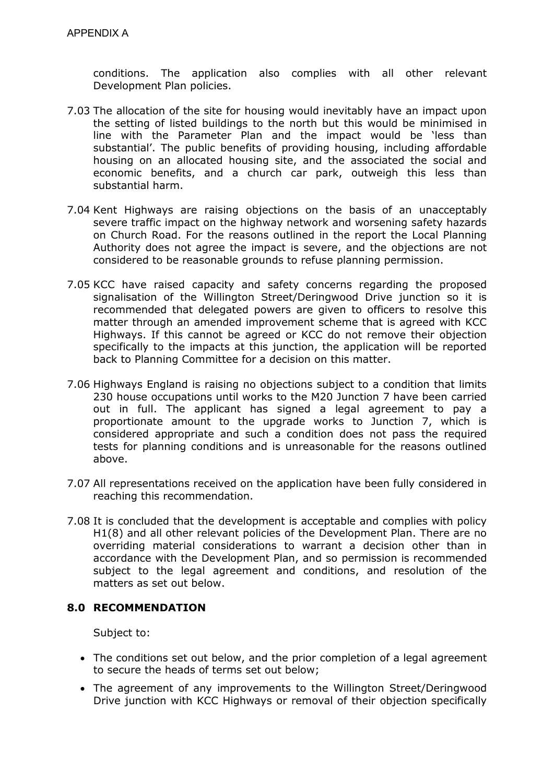conditions. The application also complies with all other relevant Development Plan policies.

- 7.03 The allocation of the site for housing would inevitably have an impact upon the setting of listed buildings to the north but this would be minimised in line with the Parameter Plan and the impact would be 'less than substantial'. The public benefits of providing housing, including affordable housing on an allocated housing site, and the associated the social and economic benefits, and a church car park, outweigh this less than substantial harm.
- 7.04 Kent Highways are raising objections on the basis of an unacceptably severe traffic impact on the highway network and worsening safety hazards on Church Road. For the reasons outlined in the report the Local Planning Authority does not agree the impact is severe, and the objections are not considered to be reasonable grounds to refuse planning permission.
- 7.05 KCC have raised capacity and safety concerns regarding the proposed signalisation of the Willington Street/Deringwood Drive junction so it is recommended that delegated powers are given to officers to resolve this matter through an amended improvement scheme that is agreed with KCC Highways. If this cannot be agreed or KCC do not remove their objection specifically to the impacts at this junction, the application will be reported back to Planning Committee for a decision on this matter.
- 7.06 Highways England is raising no objections subject to a condition that limits 230 house occupations until works to the M20 Junction 7 have been carried out in full. The applicant has signed a legal agreement to pay a proportionate amount to the upgrade works to Junction 7, which is considered appropriate and such a condition does not pass the required tests for planning conditions and is unreasonable for the reasons outlined above.
- 7.07 All representations received on the application have been fully considered in reaching this recommendation.
- 7.08 It is concluded that the development is acceptable and complies with policy H1(8) and all other relevant policies of the Development Plan. There are no overriding material considerations to warrant a decision other than in accordance with the Development Plan, and so permission is recommended subject to the legal agreement and conditions, and resolution of the matters as set out below.

## **8.0 RECOMMENDATION**

Subject to:

- The conditions set out below, and the prior completion of a legal agreement to secure the heads of terms set out below;
- The agreement of any improvements to the Willington Street/Deringwood Drive junction with KCC Highways or removal of their objection specifically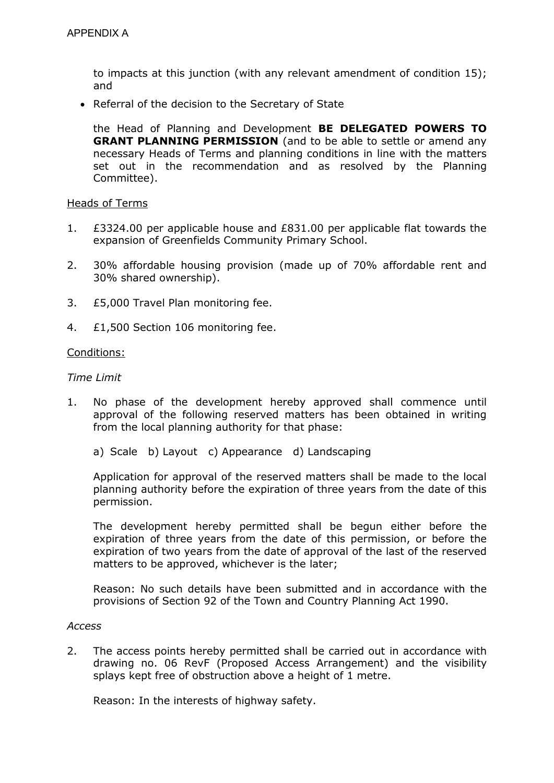to impacts at this junction (with any relevant amendment of condition 15); and

• Referral of the decision to the Secretary of State

the Head of Planning and Development **BE DELEGATED POWERS TO GRANT PLANNING PERMISSION** (and to be able to settle or amend any necessary Heads of Terms and planning conditions in line with the matters set out in the recommendation and as resolved by the Planning Committee).

#### Heads of Terms

- 1. £3324.00 per applicable house and £831.00 per applicable flat towards the expansion of Greenfields Community Primary School.
- 2. 30% affordable housing provision (made up of 70% affordable rent and 30% shared ownership).
- 3. £5,000 Travel Plan monitoring fee.
- 4. £1,500 Section 106 monitoring fee.

#### Conditions:

#### *Time Limit*

- 1. No phase of the development hereby approved shall commence until approval of the following reserved matters has been obtained in writing from the local planning authority for that phase:
	- a) Scale b) Layout c) Appearance d) Landscaping

Application for approval of the reserved matters shall be made to the local planning authority before the expiration of three years from the date of this permission.

The development hereby permitted shall be begun either before the expiration of three years from the date of this permission, or before the expiration of two years from the date of approval of the last of the reserved matters to be approved, whichever is the later;

Reason: No such details have been submitted and in accordance with the provisions of Section 92 of the Town and Country Planning Act 1990.

#### *Access*

2. The access points hereby permitted shall be carried out in accordance with drawing no. 06 RevF (Proposed Access Arrangement) and the visibility splays kept free of obstruction above a height of 1 metre.

Reason: In the interests of highway safety.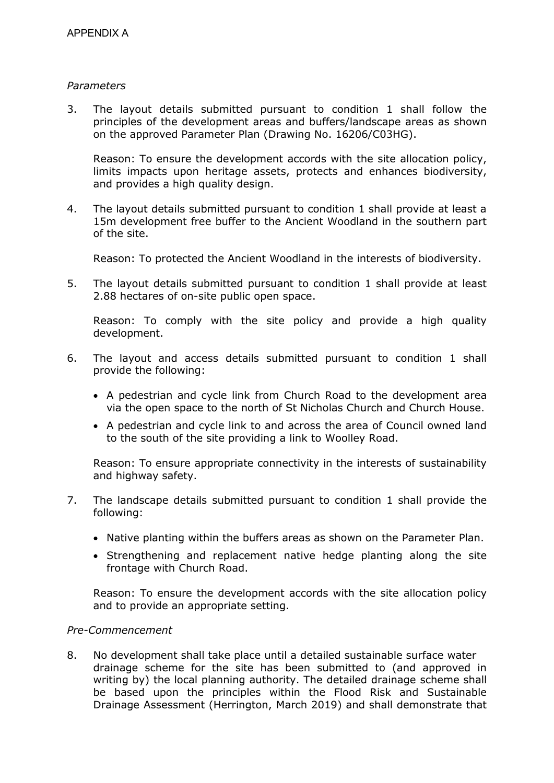### *Parameters*

3. The layout details submitted pursuant to condition 1 shall follow the principles of the development areas and buffers/landscape areas as shown on the approved Parameter Plan (Drawing No. 16206/C03HG).

Reason: To ensure the development accords with the site allocation policy, limits impacts upon heritage assets, protects and enhances biodiversity, and provides a high quality design.

4. The layout details submitted pursuant to condition 1 shall provide at least a 15m development free buffer to the Ancient Woodland in the southern part of the site.

Reason: To protected the Ancient Woodland in the interests of biodiversity.

5. The layout details submitted pursuant to condition 1 shall provide at least 2.88 hectares of on-site public open space.

Reason: To comply with the site policy and provide a high quality development.

- 6. The layout and access details submitted pursuant to condition 1 shall provide the following:
	- A pedestrian and cycle link from Church Road to the development area via the open space to the north of St Nicholas Church and Church House.
	- A pedestrian and cycle link to and across the area of Council owned land to the south of the site providing a link to Woolley Road.

Reason: To ensure appropriate connectivity in the interests of sustainability and highway safety.

- 7. The landscape details submitted pursuant to condition 1 shall provide the following:
	- Native planting within the buffers areas as shown on the Parameter Plan.
	- Strengthening and replacement native hedge planting along the site frontage with Church Road.

Reason: To ensure the development accords with the site allocation policy and to provide an appropriate setting.

## *Pre-Commencement*

8. No development shall take place until a detailed sustainable surface water drainage scheme for the site has been submitted to (and approved in writing by) the local planning authority. The detailed drainage scheme shall be based upon the principles within the Flood Risk and Sustainable Drainage Assessment (Herrington, March 2019) and shall demonstrate that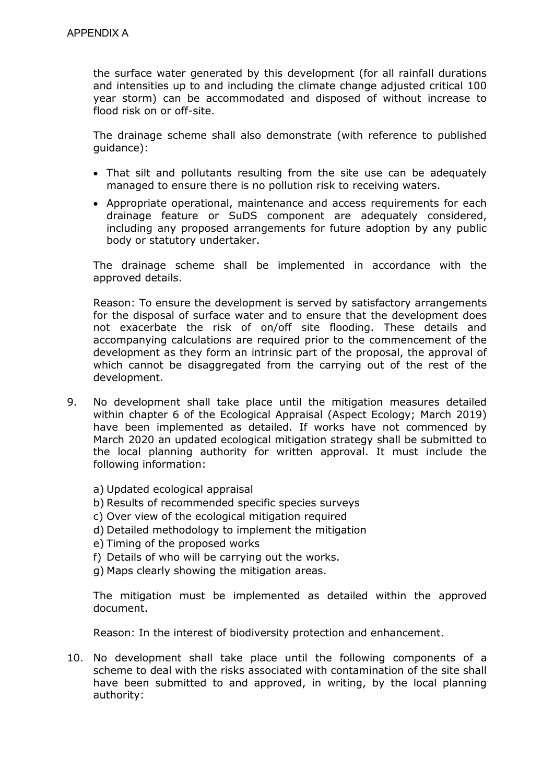the surface water generated by this development (for all rainfall durations and intensities up to and including the climate change adjusted critical 100 year storm) can be accommodated and disposed of without increase to flood risk on or off-site.

The drainage scheme shall also demonstrate (with reference to published guidance):

- That silt and pollutants resulting from the site use can be adequately managed to ensure there is no pollution risk to receiving waters.
- Appropriate operational, maintenance and access requirements for each drainage feature or SuDS component are adequately considered, including any proposed arrangements for future adoption by any public body or statutory undertaker.

The drainage scheme shall be implemented in accordance with the approved details.

Reason: To ensure the development is served by satisfactory arrangements for the disposal of surface water and to ensure that the development does not exacerbate the risk of on/off site flooding. These details and accompanying calculations are required prior to the commencement of the development as they form an intrinsic part of the proposal, the approval of which cannot be disaggregated from the carrying out of the rest of the development.

- 9. No development shall take place until the mitigation measures detailed within chapter 6 of the Ecological Appraisal (Aspect Ecology; March 2019) have been implemented as detailed. If works have not commenced by March 2020 an updated ecological mitigation strategy shall be submitted to the local planning authority for written approval. It must include the following information:
	- a) Updated ecological appraisal
	- b) Results of recommended specific species surveys
	- c) Over view of the ecological mitigation required
	- d) Detailed methodology to implement the mitigation
	- e) Timing of the proposed works
	- f) Details of who will be carrying out the works.
	- g) Maps clearly showing the mitigation areas.

The mitigation must be implemented as detailed within the approved document.

Reason: In the interest of biodiversity protection and enhancement.

10. No development shall take place until the following components of a scheme to deal with the risks associated with contamination of the site shall have been submitted to and approved, in writing, by the local planning authority: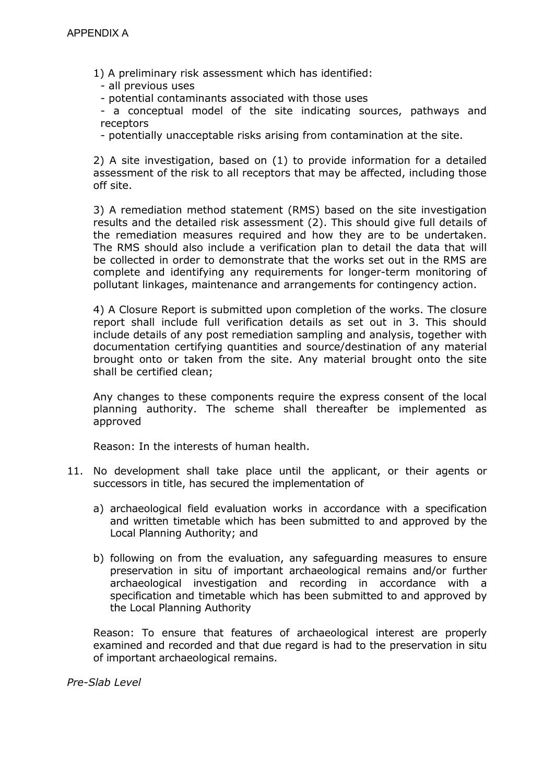1) A preliminary risk assessment which has identified:

- all previous uses

- potential contaminants associated with those uses

- a conceptual model of the site indicating sources, pathways and receptors

- potentially unacceptable risks arising from contamination at the site.

2) A site investigation, based on (1) to provide information for a detailed assessment of the risk to all receptors that may be affected, including those off site.

3) A remediation method statement (RMS) based on the site investigation results and the detailed risk assessment (2). This should give full details of the remediation measures required and how they are to be undertaken. The RMS should also include a verification plan to detail the data that will be collected in order to demonstrate that the works set out in the RMS are complete and identifying any requirements for longer-term monitoring of pollutant linkages, maintenance and arrangements for contingency action.

4) A Closure Report is submitted upon completion of the works. The closure report shall include full verification details as set out in 3. This should include details of any post remediation sampling and analysis, together with documentation certifying quantities and source/destination of any material brought onto or taken from the site. Any material brought onto the site shall be certified clean;

Any changes to these components require the express consent of the local planning authority. The scheme shall thereafter be implemented as approved

Reason: In the interests of human health.

- 11. No development shall take place until the applicant, or their agents or successors in title, has secured the implementation of
	- a) archaeological field evaluation works in accordance with a specification and written timetable which has been submitted to and approved by the Local Planning Authority; and
	- b) following on from the evaluation, any safeguarding measures to ensure preservation in situ of important archaeological remains and/or further archaeological investigation and recording in accordance with a specification and timetable which has been submitted to and approved by the Local Planning Authority

Reason: To ensure that features of archaeological interest are properly examined and recorded and that due regard is had to the preservation in situ of important archaeological remains.

*Pre-Slab Level*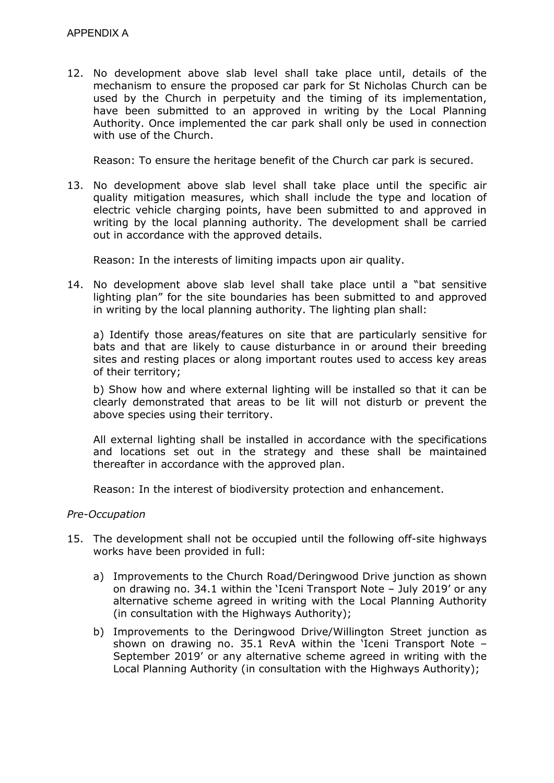12. No development above slab level shall take place until, details of the mechanism to ensure the proposed car park for St Nicholas Church can be used by the Church in perpetuity and the timing of its implementation, have been submitted to an approved in writing by the Local Planning Authority. Once implemented the car park shall only be used in connection with use of the Church.

Reason: To ensure the heritage benefit of the Church car park is secured.

13. No development above slab level shall take place until the specific air quality mitigation measures, which shall include the type and location of electric vehicle charging points, have been submitted to and approved in writing by the local planning authority. The development shall be carried out in accordance with the approved details.

Reason: In the interests of limiting impacts upon air quality.

14. No development above slab level shall take place until a "bat sensitive lighting plan" for the site boundaries has been submitted to and approved in writing by the local planning authority. The lighting plan shall:

a) Identify those areas/features on site that are particularly sensitive for bats and that are likely to cause disturbance in or around their breeding sites and resting places or along important routes used to access key areas of their territory;

b) Show how and where external lighting will be installed so that it can be clearly demonstrated that areas to be lit will not disturb or prevent the above species using their territory.

All external lighting shall be installed in accordance with the specifications and locations set out in the strategy and these shall be maintained thereafter in accordance with the approved plan.

Reason: In the interest of biodiversity protection and enhancement.

### *Pre-Occupation*

- 15. The development shall not be occupied until the following off-site highways works have been provided in full:
	- a) Improvements to the Church Road/Deringwood Drive junction as shown on drawing no. 34.1 within the 'Iceni Transport Note – July 2019' or any alternative scheme agreed in writing with the Local Planning Authority (in consultation with the Highways Authority);
	- b) Improvements to the Deringwood Drive/Willington Street junction as shown on drawing no. 35.1 RevA within the 'Iceni Transport Note – September 2019' or any alternative scheme agreed in writing with the Local Planning Authority (in consultation with the Highways Authority);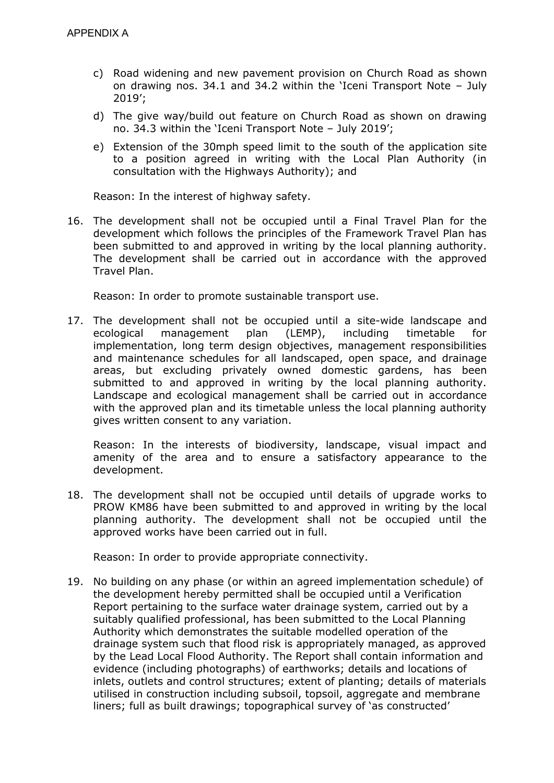- c) Road widening and new pavement provision on Church Road as shown on drawing nos. 34.1 and 34.2 within the 'Iceni Transport Note – July 2019';
- d) The give way/build out feature on Church Road as shown on drawing no. 34.3 within the 'Iceni Transport Note – July 2019';
- e) Extension of the 30mph speed limit to the south of the application site to a position agreed in writing with the Local Plan Authority (in consultation with the Highways Authority); and

Reason: In the interest of highway safety.

16. The development shall not be occupied until a Final Travel Plan for the development which follows the principles of the Framework Travel Plan has been submitted to and approved in writing by the local planning authority. The development shall be carried out in accordance with the approved Travel Plan.

Reason: In order to promote sustainable transport use.

17. The development shall not be occupied until a site-wide landscape and ecological management plan (LEMP), including timetable for implementation, long term design objectives, management responsibilities and maintenance schedules for all landscaped, open space, and drainage areas, but excluding privately owned domestic gardens, has been submitted to and approved in writing by the local planning authority. Landscape and ecological management shall be carried out in accordance with the approved plan and its timetable unless the local planning authority gives written consent to any variation.

Reason: In the interests of biodiversity, landscape, visual impact and amenity of the area and to ensure a satisfactory appearance to the development.

18. The development shall not be occupied until details of upgrade works to PROW KM86 have been submitted to and approved in writing by the local planning authority. The development shall not be occupied until the approved works have been carried out in full.

Reason: In order to provide appropriate connectivity.

19. No building on any phase (or within an agreed implementation schedule) of the development hereby permitted shall be occupied until a Verification Report pertaining to the surface water drainage system, carried out by a suitably qualified professional, has been submitted to the Local Planning Authority which demonstrates the suitable modelled operation of the drainage system such that flood risk is appropriately managed, as approved by the Lead Local Flood Authority. The Report shall contain information and evidence (including photographs) of earthworks; details and locations of inlets, outlets and control structures; extent of planting; details of materials utilised in construction including subsoil, topsoil, aggregate and membrane liners; full as built drawings; topographical survey of 'as constructed'